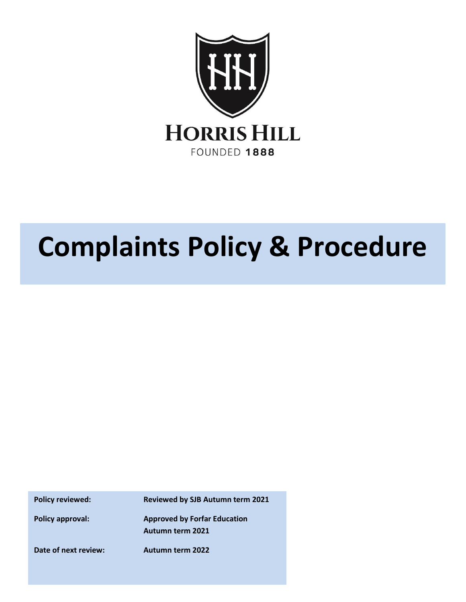

# **Complaints Policy & Procedure**

**Policy reviewed: Reviewed by SJB Autumn term 2021**

**Policy approval: Approved by Forfar Education Autumn term 2021**

**Date of next review: Autumn term 2022**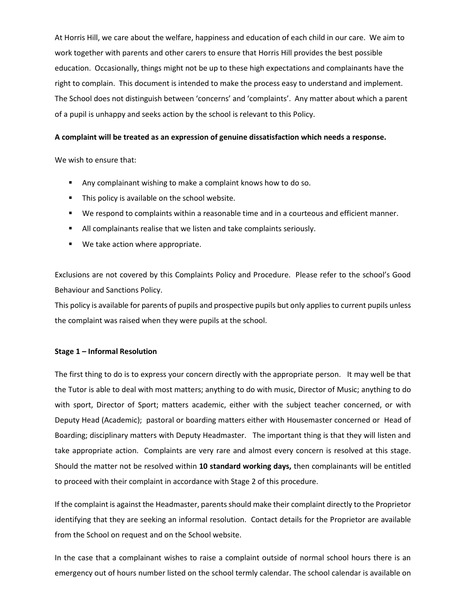At Horris Hill, we care about the welfare, happiness and education of each child in our care. We aim to work together with parents and other carers to ensure that Horris Hill provides the best possible education. Occasionally, things might not be up to these high expectations and complainants have the right to complain. This document is intended to make the process easy to understand and implement. The School does not distinguish between 'concerns' and 'complaints'. Any matter about which a parent of a pupil is unhappy and seeks action by the school is relevant to this Policy.

## **A complaint will be treated as an expression of genuine dissatisfaction which needs a response.**

We wish to ensure that:

- Any complainant wishing to make a complaint knows how to do so.
- This policy is available on the school website.
- We respond to complaints within a reasonable time and in a courteous and efficient manner.
- All complainants realise that we listen and take complaints seriously.
- We take action where appropriate.

Exclusions are not covered by this Complaints Policy and Procedure. Please refer to the school's Good Behaviour and Sanctions Policy.

This policy is available for parents of pupils and prospective pupils but only applies to current pupils unless the complaint was raised when they were pupils at the school.

## **Stage 1 – Informal Resolution**

The first thing to do is to express your concern directly with the appropriate person. It may well be that the Tutor is able to deal with most matters; anything to do with music, Director of Music; anything to do with sport, Director of Sport; matters academic, either with the subject teacher concerned, or with Deputy Head (Academic); pastoral or boarding matters either with Housemaster concerned or Head of Boarding; disciplinary matters with Deputy Headmaster. The important thing is that they will listen and take appropriate action. Complaints are very rare and almost every concern is resolved at this stage. Should the matter not be resolved within **10 standard working days,** then complainants will be entitled to proceed with their complaint in accordance with Stage 2 of this procedure.

If the complaint is against the Headmaster, parents should make their complaint directly to the Proprietor identifying that they are seeking an informal resolution. Contact details for the Proprietor are available from the School on request and on the School website.

In the case that a complainant wishes to raise a complaint outside of normal school hours there is an emergency out of hours number listed on the school termly calendar. The school calendar is available on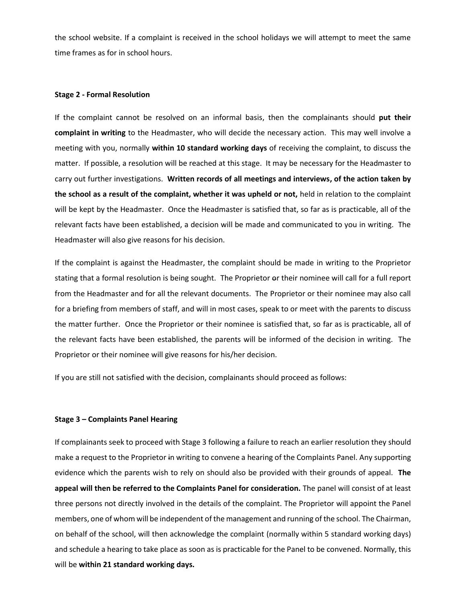the school website. If a complaint is received in the school holidays we will attempt to meet the same time frames as for in school hours.

#### **Stage 2 - Formal Resolution**

If the complaint cannot be resolved on an informal basis, then the complainants should **put their complaint in writing** to the Headmaster, who will decide the necessary action. This may well involve a meeting with you, normally **within 10 standard working days** of receiving the complaint, to discuss the matter. If possible, a resolution will be reached at this stage. It may be necessary for the Headmaster to carry out further investigations. **Written records of all meetings and interviews, of the action taken by the school as a result of the complaint, whether it was upheld or not,** held in relation to the complaint will be kept by the Headmaster. Once the Headmaster is satisfied that, so far as is practicable, all of the relevant facts have been established, a decision will be made and communicated to you in writing. The Headmaster will also give reasons for his decision.

If the complaint is against the Headmaster, the complaint should be made in writing to the Proprietor stating that a formal resolution is being sought. The Proprietor or their nominee will call for a full report from the Headmaster and for all the relevant documents. The Proprietor or their nominee may also call for a briefing from members of staff, and will in most cases, speak to or meet with the parents to discuss the matter further. Once the Proprietor or their nominee is satisfied that, so far as is practicable, all of the relevant facts have been established, the parents will be informed of the decision in writing. The Proprietor or their nominee will give reasons for his/her decision.

If you are still not satisfied with the decision, complainants should proceed as follows:

#### **Stage 3 – Complaints Panel Hearing**

If complainants seek to proceed with Stage 3 following a failure to reach an earlier resolution they should make a request to the Proprietor in writing to convene a hearing of the Complaints Panel. Any supporting evidence which the parents wish to rely on should also be provided with their grounds of appeal. **The appeal will then be referred to the Complaints Panel for consideration.** The panel will consist of at least three persons not directly involved in the details of the complaint. The Proprietor will appoint the Panel members, one of whom will be independent of the management and running of the school. The Chairman, on behalf of the school, will then acknowledge the complaint (normally within 5 standard working days) and schedule a hearing to take place as soon as is practicable for the Panel to be convened. Normally, this will be **within 21 standard working days.**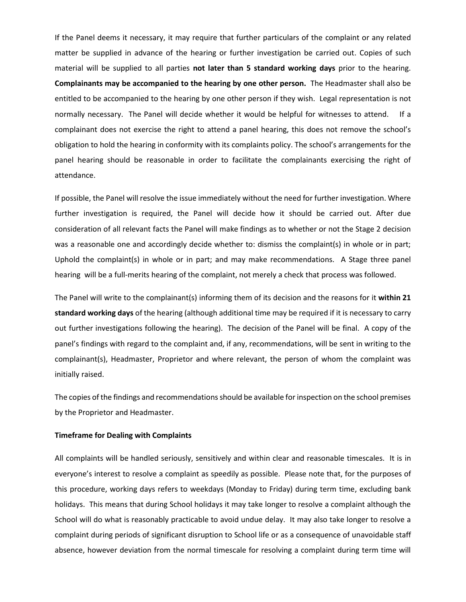If the Panel deems it necessary, it may require that further particulars of the complaint or any related matter be supplied in advance of the hearing or further investigation be carried out. Copies of such material will be supplied to all parties **not later than 5 standard working days** prior to the hearing. **Complainants may be accompanied to the hearing by one other person.** The Headmaster shall also be entitled to be accompanied to the hearing by one other person if they wish. Legal representation is not normally necessary. The Panel will decide whether it would be helpful for witnesses to attend. If a complainant does not exercise the right to attend a panel hearing, this does not remove the school's obligation to hold the hearing in conformity with its complaints policy. The school's arrangements for the panel hearing should be reasonable in order to facilitate the complainants exercising the right of attendance.

If possible, the Panel will resolve the issue immediately without the need for further investigation. Where further investigation is required, the Panel will decide how it should be carried out. After due consideration of all relevant facts the Panel will make findings as to whether or not the Stage 2 decision was a reasonable one and accordingly decide whether to: dismiss the complaint(s) in whole or in part; Uphold the complaint(s) in whole or in part; and may make recommendations. A Stage three panel hearing will be a full-merits hearing of the complaint, not merely a check that process was followed.

The Panel will write to the complainant(s) informing them of its decision and the reasons for it **within 21 standard working days** of the hearing (although additional time may be required if it is necessary to carry out further investigations following the hearing). The decision of the Panel will be final. A copy of the panel's findings with regard to the complaint and, if any, recommendations, will be sent in writing to the complainant(s), Headmaster, Proprietor and where relevant, the person of whom the complaint was initially raised.

The copies of the findings and recommendations should be available for inspection on the school premises by the Proprietor and Headmaster.

## **Timeframe for Dealing with Complaints**

All complaints will be handled seriously, sensitively and within clear and reasonable timescales. It is in everyone's interest to resolve a complaint as speedily as possible. Please note that, for the purposes of this procedure, working days refers to weekdays (Monday to Friday) during term time, excluding bank holidays. This means that during School holidays it may take longer to resolve a complaint although the School will do what is reasonably practicable to avoid undue delay. It may also take longer to resolve a complaint during periods of significant disruption to School life or as a consequence of unavoidable staff absence, however deviation from the normal timescale for resolving a complaint during term time will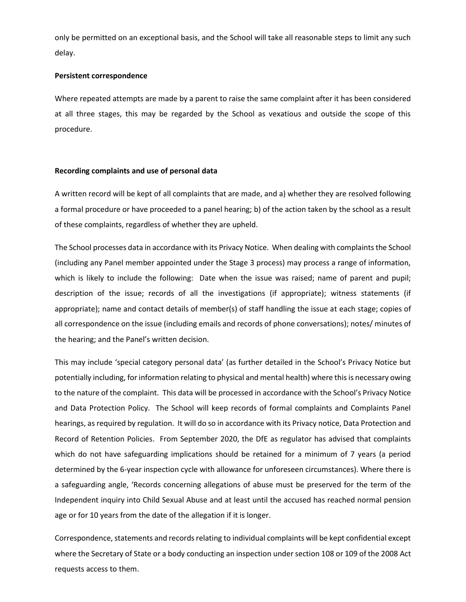only be permitted on an exceptional basis, and the School will take all reasonable steps to limit any such delay.

### **Persistent correspondence**

Where repeated attempts are made by a parent to raise the same complaint after it has been considered at all three stages, this may be regarded by the School as vexatious and outside the scope of this procedure.

## **Recording complaints and use of personal data**

A written record will be kept of all complaints that are made, and a) whether they are resolved following a formal procedure or have proceeded to a panel hearing; b) of the action taken by the school as a result of these complaints, regardless of whether they are upheld.

The School processes data in accordance with its Privacy Notice. When dealing with complaints the School (including any Panel member appointed under the Stage 3 process) may process a range of information, which is likely to include the following: Date when the issue was raised; name of parent and pupil; description of the issue; records of all the investigations (if appropriate); witness statements (if appropriate); name and contact details of member(s) of staff handling the issue at each stage; copies of all correspondence on the issue (including emails and records of phone conversations); notes/ minutes of the hearing; and the Panel's written decision.

This may include 'special category personal data' (as further detailed in the School's Privacy Notice but potentially including, for information relating to physical and mental health) where this is necessary owing to the nature of the complaint. This data will be processed in accordance with the School's Privacy Notice and Data Protection Policy. The School will keep records of formal complaints and Complaints Panel hearings, as required by regulation. It will do so in accordance with its Privacy notice, Data Protection and Record of Retention Policies. From September 2020, the DfE as regulator has advised that complaints which do not have safeguarding implications should be retained for a minimum of 7 years (a period determined by the 6-year inspection cycle with allowance for unforeseen circumstances). Where there is a safeguarding angle, 'Records concerning allegations of abuse must be preserved for the term of the Independent inquiry into Child Sexual Abuse and at least until the accused has reached normal pension age or for 10 years from the date of the allegation if it is longer.

Correspondence, statements and records relating to individual complaints will be kept confidential except where the Secretary of State or a body conducting an inspection under section 108 or 109 of the 2008 Act requests access to them.